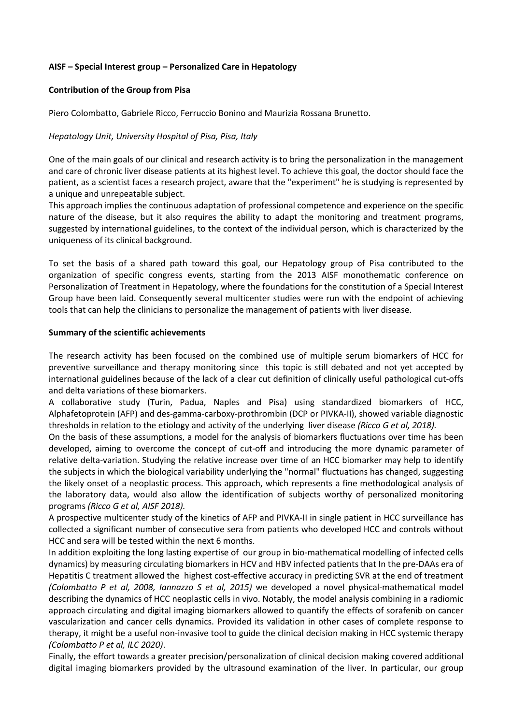## **AISF – Special Interest group – Personalized Care in Hepatology**

#### **Contribution of the Group from Pisa**

Piero Colombatto, Gabriele Ricco, Ferruccio Bonino and Maurizia Rossana Brunetto.

#### *Hepatology Unit, University Hospital of Pisa, Pisa, Italy*

One of the main goals of our clinical and research activity is to bring the personalization in the management and care of chronic liver disease patients at its highest level. To achieve this goal, the doctor should face the patient, as a scientist faces a research project, aware that the "experiment" he is studying is represented by a unique and unrepeatable subject.

This approach implies the continuous adaptation of professional competence and experience on the specific nature of the disease, but it also requires the ability to adapt the monitoring and treatment programs, suggested by international guidelines, to the context of the individual person, which is characterized by the uniqueness of its clinical background.

To set the basis of a shared path toward this goal, our Hepatology group of Pisa contributed to the organization of specific congress events, starting from the 2013 AISF monothematic conference on Personalization of Treatment in Hepatology, where the foundations for the constitution of a Special Interest Group have been laid. Consequently several multicenter studies were run with the endpoint of achieving tools that can help the clinicians to personalize the management of patients with liver disease.

#### **Summary of the scientific achievements**

The research activity has been focused on the combined use of multiple serum biomarkers of HCC for preventive surveillance and therapy monitoring since this topic is still debated and not yet accepted by international guidelines because of the lack of a clear cut definition of clinically useful pathological cut-offs and delta variations of these biomarkers.

A collaborative study (Turin, Padua, Naples and Pisa) using standardized biomarkers of HCC, Alphafetoprotein (AFP) and des-gamma-carboxy-prothrombin (DCP or PIVKA-II), showed variable diagnostic thresholds in relation to the etiology and activity of the underlying liver disease *(Ricco G et al, 2018).*

On the basis of these assumptions, a model for the analysis of biomarkers fluctuations over time has been developed, aiming to overcome the concept of cut-off and introducing the more dynamic parameter of relative delta-variation. Studying the relative increase over time of an HCC biomarker may help to identify the subjects in which the biological variability underlying the "normal" fluctuations has changed, suggesting the likely onset of a neoplastic process. This approach, which represents a fine methodological analysis of the laboratory data, would also allow the identification of subjects worthy of personalized monitoring programs *(Ricco G et al, AISF 2018).*

A prospective multicenter study of the kinetics of AFP and PIVKA-II in single patient in HCC surveillance has collected a significant number of consecutive sera from patients who developed HCC and controls without HCC and sera will be tested within the next 6 months.

In addition exploiting the long lasting expertise of our group in bio-mathematical modelling of infected cells dynamics) by measuring circulating biomarkers in HCV and HBV infected patients that In the pre-DAAs era of Hepatitis C treatment allowed the highest cost-effective accuracy in predicting SVR at the end of treatment *(Colombatto P et al, 2008, Iannazzo S et al, 2015)* we developed a novel physical-mathematical model describing the dynamics of HCC neoplastic cells in vivo. Notably, the model analysis combining in a radiomic approach circulating and digital imaging biomarkers allowed to quantify the effects of sorafenib on cancer vascularization and cancer cells dynamics. Provided its validation in other cases of complete response to therapy, it might be a useful non-invasive tool to guide the clinical decision making in HCC systemic therapy *(Colombatto P et al, ILC 2020)*.

Finally, the effort towards a greater precision/personalization of clinical decision making covered additional digital imaging biomarkers provided by the ultrasound examination of the liver. In particular, our group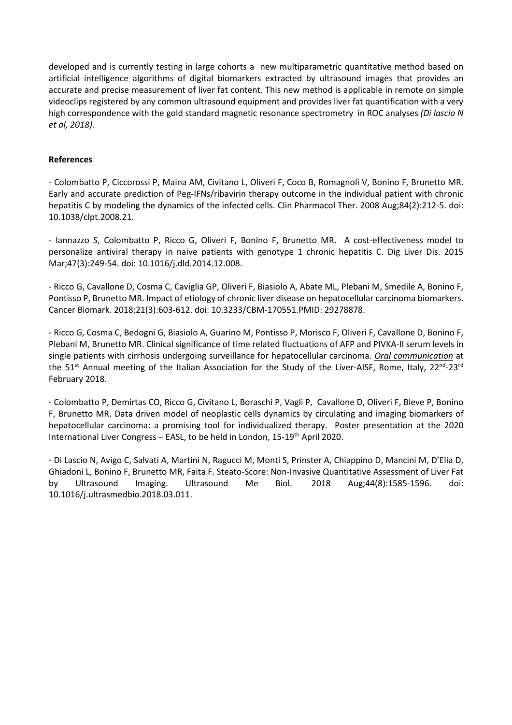developed and is currently testing in large cohorts a new multiparametric quantitative method based on artificial intelligence algorithms of digital biomarkers extracted by ultrasound images that provides an accurate and precise measurement of liver fat content. This new method is applicable in remote on simple videoclips registered by any common ultrasound equipment and provides liver fat quantification with a very high correspondence with the gold standard magnetic resonance spectrometry in ROC analyses *(Di lascio N et al, 2018)*.

# **References**

- Colombatto P, Ciccorossi P, Maina AM, Civitano L, Oliveri F, Coco B, Romagnoli V, Bonino F, Brunetto MR. Early and accurate prediction of Peg-IFNs/ribavirin therapy outcome in the individual patient with chronic hepatitis C by modeling the dynamics of the infected cells. Clin Pharmacol Ther. 2008 Aug;84(2):212-5. doi: 10.1038/clpt.2008.21.

- Iannazzo S, Colombatto P, Ricco G, Oliveri F, Bonino F, Brunetto MR. A cost-effectiveness model to personalize antiviral therapy in naive patients with genotype 1 chronic hepatitis C. Dig Liver Dis. 2015 Mar;47(3):249-54. doi: 10.1016/j.dld.2014.12.008.

- Ricco G, Cavallone D, Cosma C, Caviglia GP, Oliveri F, Biasiolo A, Abate ML, Plebani M, Smedile A, Bonino F, Pontisso P, Brunetto MR. Impact of etiology of chronic liver disease on hepatocellular carcinoma biomarkers. Cancer Biomark. 2018;21(3):603-612. doi: 10.3233/CBM-170551.PMID: 29278878.

- Ricco G, Cosma C, Bedogni G, Biasiolo A, Guarino M, Pontisso P, Morisco F, Oliveri F, Cavallone D, Bonino F, Plebani M, Brunetto MR. Clinical significance of time related fluctuations of AFP and PIVKA-II serum levels in single patients with cirrhosis undergoing surveillance for hepatocellular carcinoma. *Oral communication* at the 51<sup>st</sup> Annual meeting of the Italian Association for the Study of the Liver-AISF, Rome, Italy, 22<sup>nd</sup>-23<sup>rd</sup> February 2018.

- Colombatto P, Demirtas CO, Ricco G, Civitano L, Boraschi P, Vagli P, Cavallone D, Oliveri F, Bleve P, Bonino F, Brunetto MR. Data driven model of neoplastic cells dynamics by circulating and imaging biomarkers of hepatocellular carcinoma: a promising tool for individualized therapy. Poster presentation at the 2020 International Liver Congress - EASL, to be held in London, 15-19<sup>th</sup> April 2020.

- Di Lascio N, Avigo C, Salvati A, Martini N, Ragucci M, Monti S, Prinster A, Chiappino D, Mancini M, D'Elia D, Ghiadoni L, Bonino F, Brunetto MR, Faita F. Steato-Score: Non-Invasive Quantitative Assessment of Liver Fat by Ultrasound Imaging. Ultrasound Me Biol. 2018 Aug;44(8):1585-1596. doi: 10.1016/j.ultrasmedbio.2018.03.011.